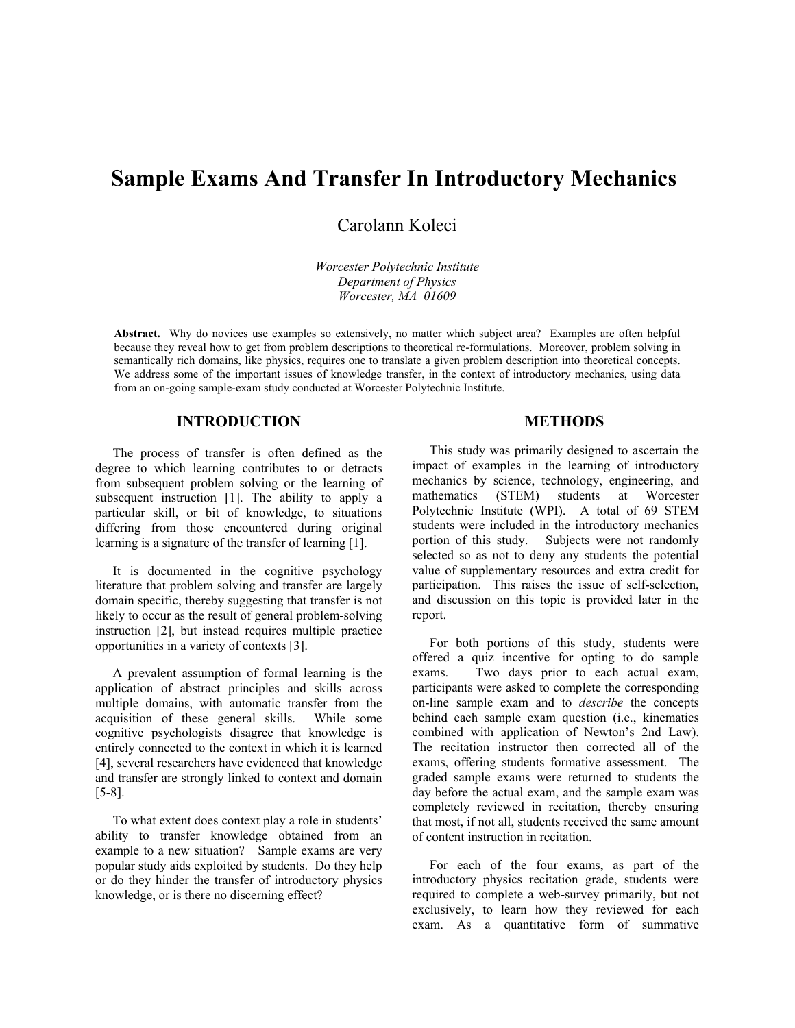# **Sample Exams And Transfer In Introductory Mechanics**

Carolann Koleci

*Worcester Polytechnic Institute Department of Physics Worcester, MA 01609* 

**Abstract.** Why do novices use examples so extensively, no matter which subject area? Examples are often helpful because they reveal how to get from problem descriptions to theoretical re-formulations. Moreover, problem solving in semantically rich domains, like physics, requires one to translate a given problem description into theoretical concepts. We address some of the important issues of knowledge transfer, in the context of introductory mechanics, using data from an on-going sample-exam study conducted at Worcester Polytechnic Institute.

### **INTRODUCTION**

The process of transfer is often defined as the degree to which learning contributes to or detracts from subsequent problem solving or the learning of subsequent instruction [1]. The ability to apply a particular skill, or bit of knowledge, to situations differing from those encountered during original learning is a signature of the transfer of learning [1].

It is documented in the cognitive psychology literature that problem solving and transfer are largely domain specific, thereby suggesting that transfer is not likely to occur as the result of general problem-solving instruction [2], but instead requires multiple practice opportunities in a variety of contexts [3].

A prevalent assumption of formal learning is the application of abstract principles and skills across multiple domains, with automatic transfer from the acquisition of these general skills. While some cognitive psychologists disagree that knowledge is entirely connected to the context in which it is learned [4], several researchers have evidenced that knowledge and transfer are strongly linked to context and domain [5-8].

To what extent does context play a role in students' ability to transfer knowledge obtained from an example to a new situation? Sample exams are very popular study aids exploited by students. Do they help or do they hinder the transfer of introductory physics knowledge, or is there no discerning effect?

### **METHODS**

This study was primarily designed to ascertain the impact of examples in the learning of introductory mechanics by science, technology, engineering, and mathematics (STEM) students at Worcester Polytechnic Institute (WPI). A total of 69 STEM students were included in the introductory mechanics portion of this study. Subjects were not randomly selected so as not to deny any students the potential value of supplementary resources and extra credit for participation. This raises the issue of self-selection, and discussion on this topic is provided later in the report.

For both portions of this study, students were offered a quiz incentive for opting to do sample exams. Two days prior to each actual exam, participants were asked to complete the corresponding on-line sample exam and to *describe* the concepts behind each sample exam question (i.e., kinematics combined with application of Newton's 2nd Law). The recitation instructor then corrected all of the exams, offering students formative assessment. The graded sample exams were returned to students the day before the actual exam, and the sample exam was completely reviewed in recitation, thereby ensuring that most, if not all, students received the same amount of content instruction in recitation.

For each of the four exams, as part of the introductory physics recitation grade, students were required to complete a web-survey primarily, but not exclusively, to learn how they reviewed for each exam. As a quantitative form of summative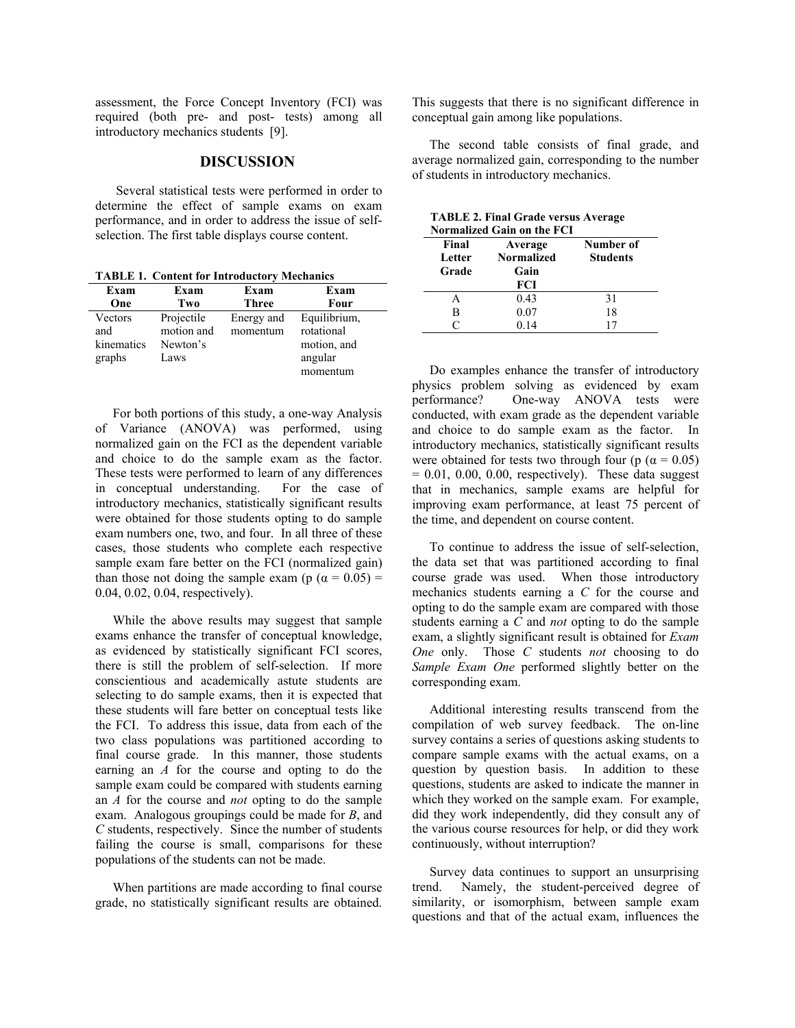assessment, the Force Concept Inventory (FCI) was required (both pre- and post- tests) among all introductory mechanics students [9].

### **DISCUSSION**

 Several statistical tests were performed in order to determine the effect of sample exams on exam performance, and in order to address the issue of selfselection. The first table displays course content.

**TABLE 1. Content for Introductory Mechanics** 

| Exam       | Exam       | Exam       | Exam         |
|------------|------------|------------|--------------|
| One        | Two        | Three      | Four         |
| Vectors    | Projectile | Energy and | Equilibrium, |
| and        | motion and | momentum   | rotational   |
| kinematics | Newton's   |            | motion, and  |
| graphs     | Laws       |            | angular      |
|            |            |            | momentum     |

For both portions of this study, a one-way Analysis of Variance (ANOVA) was performed, using normalized gain on the FCI as the dependent variable and choice to do the sample exam as the factor. These tests were performed to learn of any differences in conceptual understanding. For the case of introductory mechanics, statistically significant results were obtained for those students opting to do sample exam numbers one, two, and four. In all three of these cases, those students who complete each respective sample exam fare better on the FCI (normalized gain) than those not doing the sample exam (p ( $\alpha = 0.05$ ) = 0.04, 0.02, 0.04, respectively).

While the above results may suggest that sample exams enhance the transfer of conceptual knowledge, as evidenced by statistically significant FCI scores, there is still the problem of self-selection. If more conscientious and academically astute students are selecting to do sample exams, then it is expected that these students will fare better on conceptual tests like the FCI. To address this issue, data from each of the two class populations was partitioned according to final course grade. In this manner, those students earning an *A* for the course and opting to do the sample exam could be compared with students earning an *A* for the course and *not* opting to do the sample exam. Analogous groupings could be made for *B*, and *C* students, respectively. Since the number of students failing the course is small, comparisons for these populations of the students can not be made.

When partitions are made according to final course grade, no statistically significant results are obtained.

This suggests that there is no significant difference in conceptual gain among like populations.

The second table consists of final grade, and average normalized gain, corresponding to the number of students in introductory mechanics.

| <b>Normalized Gain on the FCI</b> |                                      |                              |
|-----------------------------------|--------------------------------------|------------------------------|
| Final<br>Letter<br>Grade          | Average<br><b>Normalized</b><br>Gain | Number of<br><b>Students</b> |
|                                   | FCI                                  |                              |
| А                                 | 0.43                                 | 31                           |
| в                                 | 0.07                                 | 18                           |
| ⊂                                 | 0.14                                 |                              |

**TABLE 2. Final Grade versus Average** 

Do examples enhance the transfer of introductory physics problem solving as evidenced by exam<br>performance? One-way ANOVA tests were One-way ANOVA tests were conducted, with exam grade as the dependent variable and choice to do sample exam as the factor. In introductory mechanics, statistically significant results were obtained for tests two through four ( $p$  ( $\alpha$  = 0.05)  $= 0.01, 0.00, 0.00,$  respectively). These data suggest that in mechanics, sample exams are helpful for improving exam performance, at least 75 percent of the time, and dependent on course content.

To continue to address the issue of self-selection, the data set that was partitioned according to final course grade was used. When those introductory mechanics students earning a *C* for the course and opting to do the sample exam are compared with those students earning a *C* and *not* opting to do the sample exam, a slightly significant result is obtained for *Exam One* only. Those *C* students *not* choosing to do *Sample Exam One* performed slightly better on the corresponding exam.

Additional interesting results transcend from the compilation of web survey feedback. The on-line survey contains a series of questions asking students to compare sample exams with the actual exams, on a question by question basis. In addition to these questions, students are asked to indicate the manner in which they worked on the sample exam. For example, did they work independently, did they consult any of the various course resources for help, or did they work continuously, without interruption?

Survey data continues to support an unsurprising trend. Namely, the student-perceived degree of similarity, or isomorphism, between sample exam questions and that of the actual exam, influences the